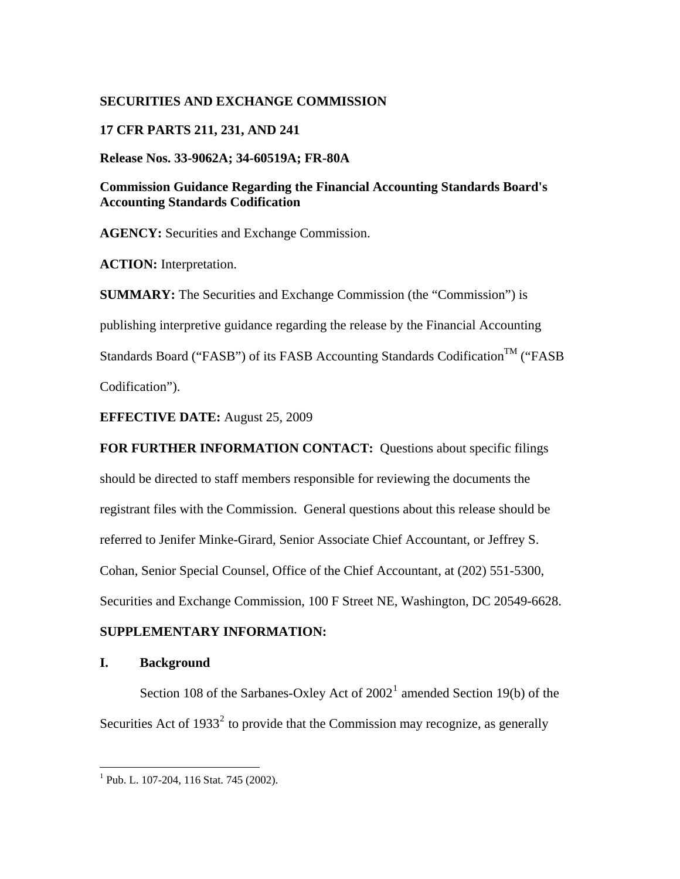## **SECURITIES AND EXCHANGE COMMISSION**

### **17 CFR PARTS 211, 231, AND 241**

**Release Nos. 33-9062A; 34-60519A; FR-80A** 

**Commission Guidance Regarding the Financial Accounting Standards Board's Accounting Standards Codification** 

**AGENCY:** Securities and Exchange Commission.

**ACTION:** Interpretation.

**SUMMARY:** The Securities and Exchange Commission (the "Commission") is publishing interpretive guidance regarding the release by the Financial Accounting Standards Board ("FASB") of its FASB Accounting Standards Codification<sup>TM</sup> ("FASB Codification").

**EFFECTIVE DATE:** August 25, 2009

**FOR FURTHER INFORMATION CONTACT:** Questions about specific filings should be directed to staff members responsible for reviewing the documents the registrant files with the Commission. General questions about this release should be referred to Jenifer Minke-Girard, Senior Associate Chief Accountant, or Jeffrey S. Cohan, Senior Special Counsel, Office of the Chief Accountant, at (202) 551-5300, Securities and Exchange Commission, 100 F Street NE, Washington, DC 20549-6628.

### **SUPPLEMENTARY INFORMATION:**

#### **I. Background**

 $\overline{a}$ 

<span id="page-0-1"></span>Section [1](#page-0-0)08 of the Sarbanes-Oxley Act of  $2002<sup>1</sup>$  amended Section 19(b) of the Securities Act of  $1933<sup>2</sup>$  $1933<sup>2</sup>$  $1933<sup>2</sup>$  to provide that the Commission may recognize, as generally

<span id="page-0-0"></span><sup>&</sup>lt;sup>1</sup> Pub. L. 107-204, 116 Stat. 745 (2002).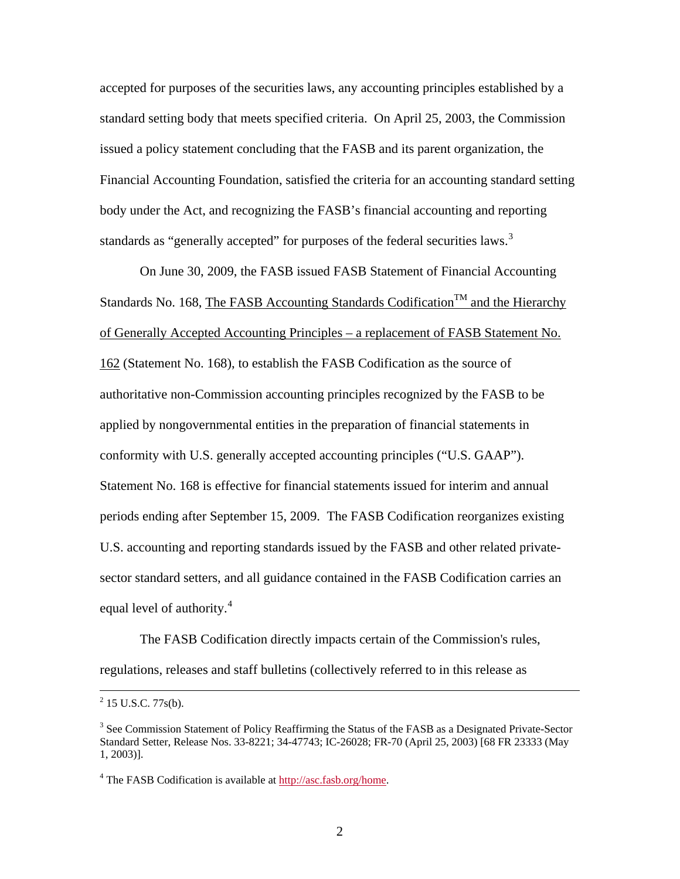accepted for purposes of the securities laws, any accounting principles established by a standard setting body that meets specified criteria. On April 25, 2003, the Commission issued a policy statement concluding that the FASB and its parent organization, the Financial Accounting Foundation, satisfied the criteria for an accounting standard setting body under the Act, and recognizing the FASB's financial accounting and reporting standards as "generally accepted" for purposes of the federal securities laws.<sup>[3](#page-1-0)</sup>

On June 30, 2009, the FASB issued FASB Statement of Financial Accounting Standards No. 168, The FASB Accounting Standards Codification<sup>TM</sup> and the Hierarchy of Generally Accepted Accounting Principles – a replacement of FASB Statement No. 162 (Statement No. 168), to establish the FASB Codification as the source of authoritative non-Commission accounting principles recognized by the FASB to be applied by nongovernmental entities in the preparation of financial statements in conformity with U.S. generally accepted accounting principles ("U.S. GAAP"). Statement No. 168 is effective for financial statements issued for interim and annual periods ending after September 15, 2009. The FASB Codification reorganizes existing U.S. accounting and reporting standards issued by the FASB and other related privatesector standard setters, and all guidance contained in the FASB Codification carries an equal level of authority.<sup>[4](#page-1-1)</sup>

The FASB Codification directly impacts certain of the Commission's rules, regulations, releases and staff bulletins (collectively referred to in this release as

 $\frac{1}{2}$  $^{2}$  15 U.S.C. 77s(b).

<span id="page-1-0"></span><sup>&</sup>lt;sup>3</sup> See Commission Statement of Policy Reaffirming the Status of the FASB as a Designated Private-Sector Standard Setter, Release Nos. 33-8221; 34-47743; IC-26028; FR-70 (April 25, 2003) [68 FR 23333 (May 1, 2003)].

<span id="page-1-1"></span><sup>&</sup>lt;sup>4</sup> The FASB Codification is available at [http://asc.fasb.org/home.](http://asc.fasb.org/home)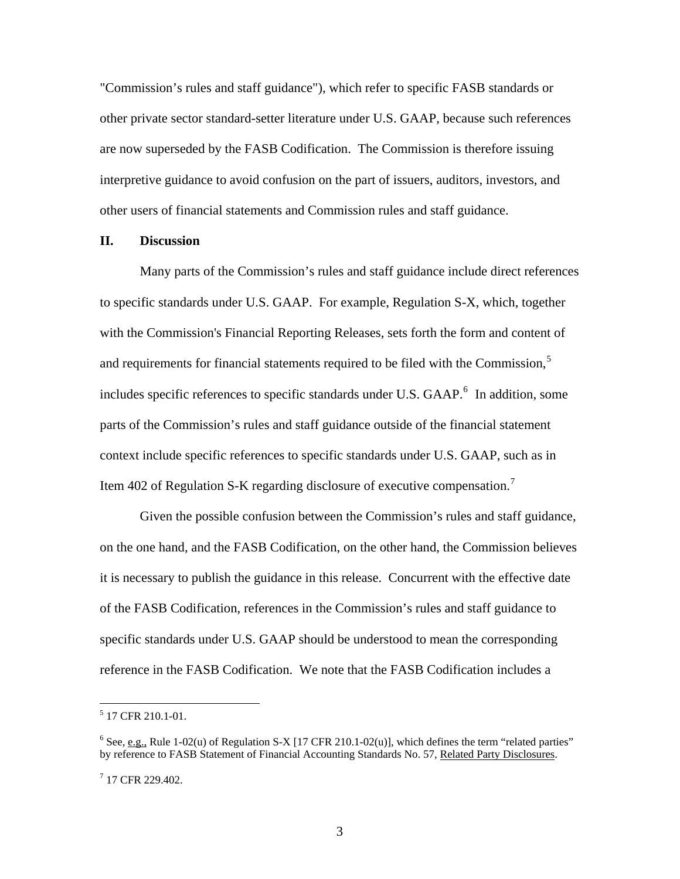"Commission's rules and staff guidance"), which refer to specific FASB standards or other private sector standard-setter literature under U.S. GAAP, because such references are now superseded by the FASB Codification. The Commission is therefore issuing interpretive guidance to avoid confusion on the part of issuers, auditors, investors, and other users of financial statements and Commission rules and staff guidance.

#### **II. Discussion**

Many parts of the Commission's rules and staff guidance include direct references to specific standards under U.S. GAAP. For example, Regulation S-X, which, together with the Commission's Financial Reporting Releases, sets forth the form and content of and requirements for financial statements required to be filed with the Commission, $5$ includes specific references to specific standards under U.S. GAAP.<sup>[6](#page-2-1)</sup> In addition, some parts of the Commission's rules and staff guidance outside of the financial statement context include specific references to specific standards under U.S. GAAP, such as in Item 402 of Regulation S-K regarding disclosure of executive compensation.<sup>[7](#page-2-2)</sup>

Given the possible confusion between the Commission's rules and staff guidance, on the one hand, and the FASB Codification, on the other hand, the Commission believes it is necessary to publish the guidance in this release. Concurrent with the effective date of the FASB Codification, references in the Commission's rules and staff guidance to specific standards under U.S. GAAP should be understood to mean the corresponding reference in the FASB Codification. We note that the FASB Codification includes a

<span id="page-2-0"></span> 5 17 CFR 210.1-01.

<span id="page-2-1"></span><sup>&</sup>lt;sup>6</sup> See, e.g., Rule 1-02(u) of Regulation S-X [17 CFR 210.1-02(u)], which defines the term "related parties" by reference to FASB Statement of Financial Accounting Standards No. 57, Related Party Disclosures.

<span id="page-2-2"></span><sup>7</sup> 17 CFR 229.402.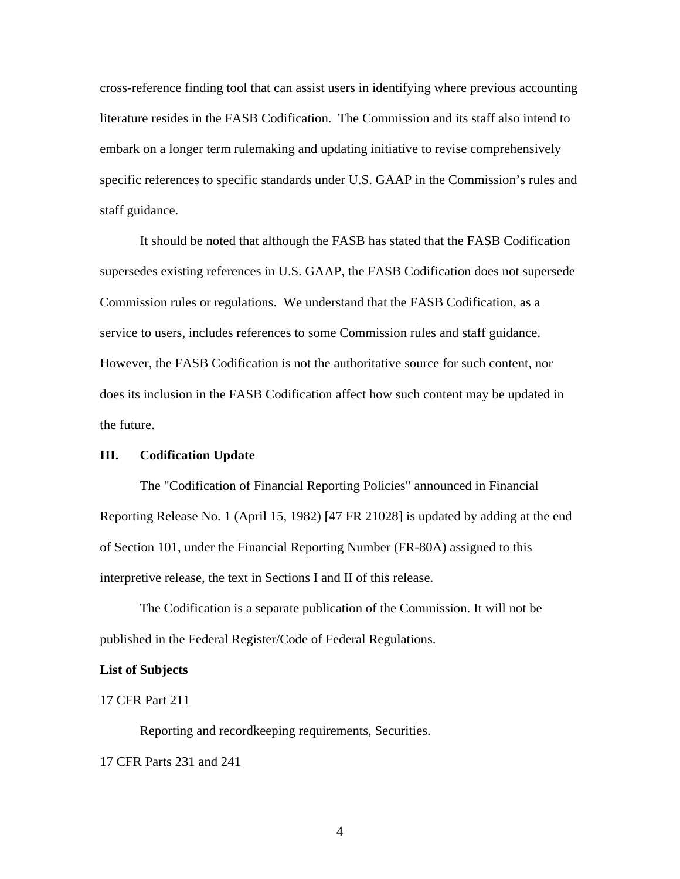cross-reference finding tool that can assist users in identifying where previous accounting literature resides in the FASB Codification. The Commission and its staff also intend to embark on a longer term rulemaking and updating initiative to revise comprehensively specific references to specific standards under U.S. GAAP in the Commission's rules and staff guidance.

It should be noted that although the FASB has stated that the FASB Codification supersedes existing references in U.S. GAAP, the FASB Codification does not supersede Commission rules or regulations. We understand that the FASB Codification, as a service to users, includes references to some Commission rules and staff guidance. However, the FASB Codification is not the authoritative source for such content, nor does its inclusion in the FASB Codification affect how such content may be updated in the future.

#### **III. Codification Update**

The "Codification of Financial Reporting Policies" announced in Financial Reporting Release No. 1 (April 15, 1982) [47 FR 21028] is updated by adding at the end of Section 101, under the Financial Reporting Number (FR-80A) assigned to this interpretive release, the text in Sections I and II of this release.

The Codification is a separate publication of the Commission. It will not be published in the Federal Register/Code of Federal Regulations.

#### **List of Subjects**

17 CFR Part 211

Reporting and recordkeeping requirements, Securities.

17 CFR Parts 231 and 241